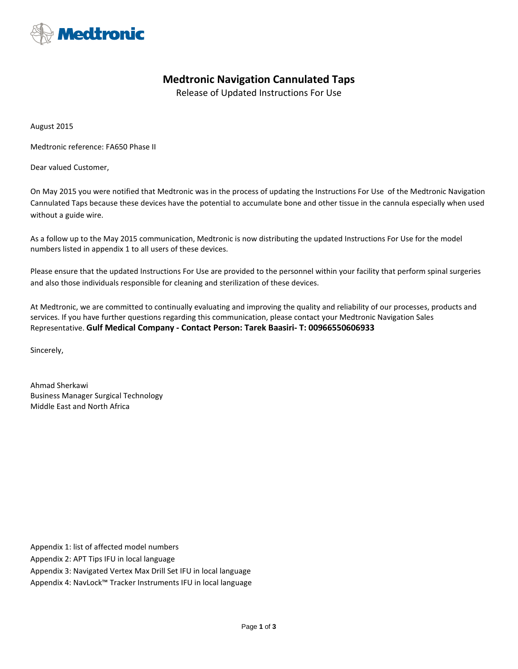

## **Medtronic Navigation Cannulated Taps**

Release of Updated Instructions For Use

August 2015

Medtronic reference: FA650 Phase II

Dear valued Customer,

On May 2015 you were notified that Medtronic was in the process of updating the Instructions For Use of the Medtronic Navigation Cannulated Taps because these devices have the potential to accumulate bone and other tissue in the cannula especially when used without a guide wire.

As a follow up to the May 2015 communication, Medtronic is now distributing the updated Instructions For Use for the model numbers listed in appendix 1 to all users of these devices.

Please ensure that the updated Instructions For Use are provided to the personnel within your facility that perform spinal surgeries and also those individuals responsible for cleaning and sterilization of these devices.

At Medtronic, we are committed to continually evaluating and improving the quality and reliability of our processes, products and services. If you have further questions regarding this communication, please contact your Medtronic Navigation Sales Representative. **Gulf Medical Company - Contact Person: Tarek Baasiri- T: 00966550606933**

Sincerely,

Ahmad Sherkawi Business Manager Surgical Technology Middle East and North Africa

Appendix 1: list of affected model numbers

Appendix 2: APT Tips IFU in local language

Appendix 3: Navigated Vertex Max Drill Set IFU in local language

Appendix 4: NavLock™ Tracker Instruments IFU in local language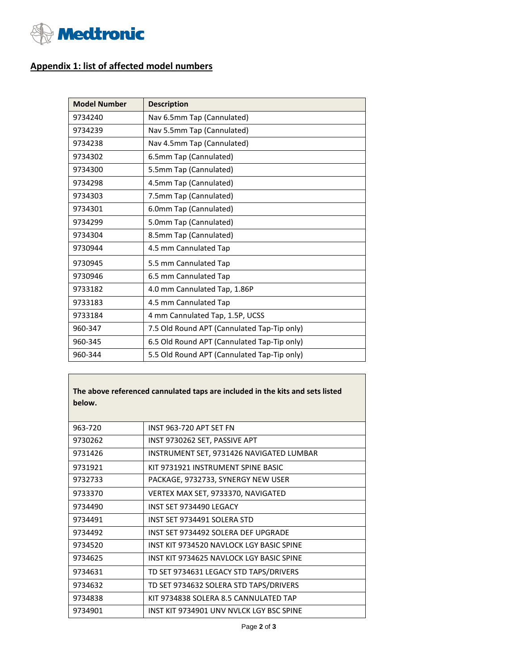

## **Appendix 1: list of affected model numbers**

| <b>Model Number</b> | <b>Description</b>                          |
|---------------------|---------------------------------------------|
| 9734240             | Nav 6.5mm Tap (Cannulated)                  |
| 9734239             | Nav 5.5mm Tap (Cannulated)                  |
| 9734238             | Nav 4.5mm Tap (Cannulated)                  |
| 9734302             | 6.5mm Tap (Cannulated)                      |
| 9734300             | 5.5mm Tap (Cannulated)                      |
| 9734298             | 4.5mm Tap (Cannulated)                      |
| 9734303             | 7.5mm Tap (Cannulated)                      |
| 9734301             | 6.0mm Tap (Cannulated)                      |
| 9734299             | 5.0mm Tap (Cannulated)                      |
| 9734304             | 8.5mm Tap (Cannulated)                      |
| 9730944             | 4.5 mm Cannulated Tap                       |
| 9730945             | 5.5 mm Cannulated Tap                       |
| 9730946             | 6.5 mm Cannulated Tap                       |
| 9733182             | 4.0 mm Cannulated Tap, 1.86P                |
| 9733183             | 4.5 mm Cannulated Tap                       |
| 9733184             | 4 mm Cannulated Tap, 1.5P, UCSS             |
| 960-347             | 7.5 Old Round APT (Cannulated Tap-Tip only) |
| 960-345             | 6.5 Old Round APT (Cannulated Tap-Tip only) |
| 960-344             | 5.5 Old Round APT (Cannulated Tap-Tip only) |

**The above referenced cannulated taps are included in the kits and sets listed below.**

| 963-720 | INST 963-720 APT SET FN                  |
|---------|------------------------------------------|
| 9730262 | INST 9730262 SET, PASSIVE APT            |
| 9731426 | INSTRUMENT SET, 9731426 NAVIGATED LUMBAR |
| 9731921 | KIT 9731921 INSTRUMENT SPINE BASIC       |
| 9732733 | PACKAGE, 9732733, SYNERGY NEW USER       |
| 9733370 | VERTEX MAX SET, 9733370, NAVIGATED       |
| 9734490 | INST SET 9734490 LEGACY                  |
| 9734491 | INST SET 9734491 SOLERA STD              |
| 9734492 | INST SET 9734492 SOLERA DEF UPGRADE      |
| 9734520 | INST KIT 9734520 NAVLOCK LGY BASIC SPINE |
| 9734625 | INST KIT 9734625 NAVLOCK LGY BASIC SPINE |
| 9734631 | TD SET 9734631 LEGACY STD TAPS/DRIVERS   |
| 9734632 | TD SET 9734632 SOLERA STD TAPS/DRIVERS   |
| 9734838 | KIT 9734838 SOLERA 8.5 CANNULATED TAP    |
| 9734901 | INST KIT 9734901 UNV NVLCK LGY BSC SPINE |